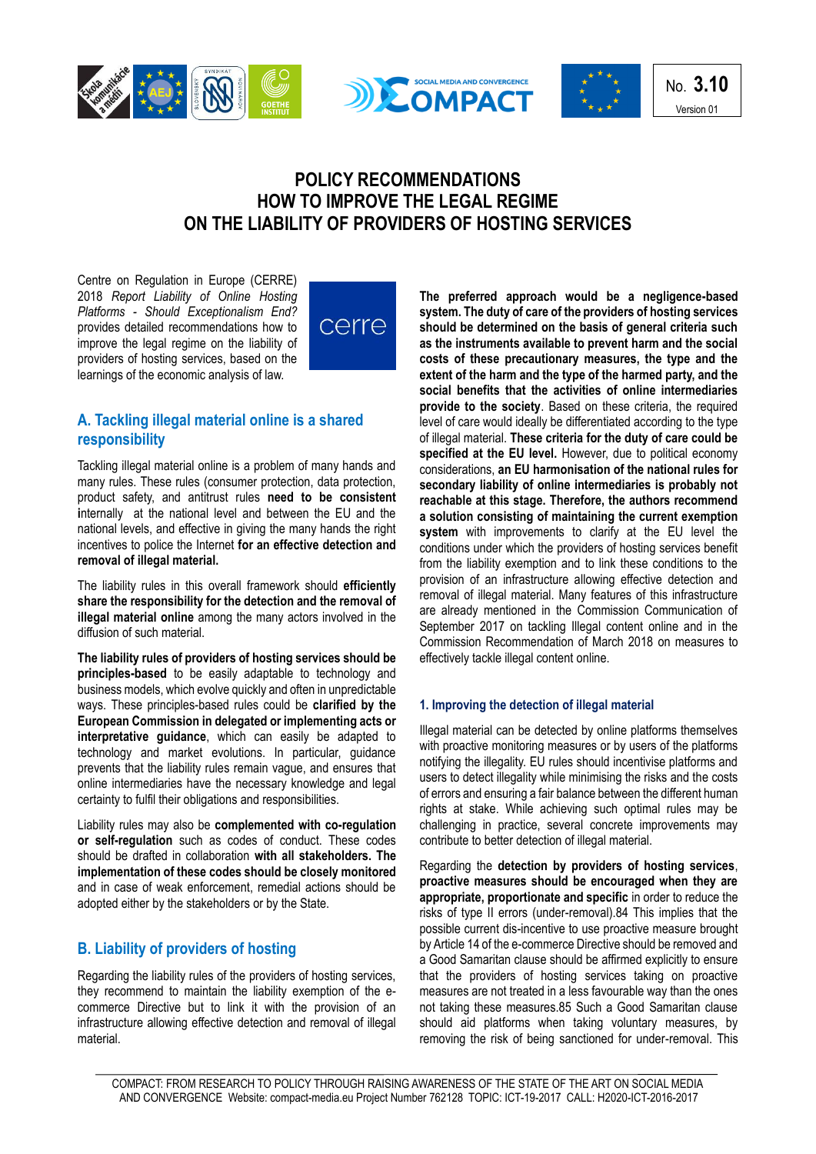





No. **3.10** Version 01

# **POLICY RECOMMENDATIONS HOW TO IMPROVE THE LEGAL REGIME ON THE LIABILITY OF PROVIDERS OF HOSTING SERVICES**

Centre on Regulation in Europe (CERRE) 2018 *Report Liability of Online Hosting Platforms - Should Exceptionalism End?*  provides detailed recommendations how to improve the legal regime on the liability of providers of hosting services, based on the learnings of the economic analysis of law.



## **A. Tackling illegal material online is a shared responsibility**

Tackling illegal material online is a problem of many hands and many rules. These rules (consumer protection, data protection, product safety, and antitrust rules **need to be consistent i**nternally at the national level and between the EU and the national levels, and effective in giving the many hands the right incentives to police the Internet **for an effective detection and removal of illegal material.**

The liability rules in this overall framework should **efficiently share the responsibility for the detection and the removal of illegal material online** among the many actors involved in the diffusion of such material.

**The liability rules of providers of hosting services should be principles-based** to be easily adaptable to technology and business models, which evolve quickly and often in unpredictable ways. These principles-based rules could be **clarified by the European Commission in delegated or implementing acts or interpretative guidance**, which can easily be adapted to technology and market evolutions. In particular, guidance prevents that the liability rules remain vague, and ensures that online intermediaries have the necessary knowledge and legal certainty to fulfil their obligations and responsibilities.

Liability rules may also be **complemented with co-regulation or self-regulation** such as codes of conduct. These codes should be drafted in collaboration **with all stakeholders. The implementation of these codes should be closely monitored**  and in case of weak enforcement, remedial actions should be adopted either by the stakeholders or by the State.

# **B. Liability of providers of hosting**

Regarding the liability rules of the providers of hosting services, they recommend to maintain the liability exemption of the ecommerce Directive but to link it with the provision of an infrastructure allowing effective detection and removal of illegal material.

**The preferred approach would be a negligence-based system. The duty of care of the providers of hosting services should be determined on the basis of general criteria such as the instruments available to prevent harm and the social costs of these precautionary measures, the type and the extent of the harm and the type of the harmed party, and the social benefits that the activities of online intermediaries provide to the society**. Based on these criteria, the required level of care would ideally be differentiated according to the type of illegal material. **These criteria for the duty of care could be specified at the EU level.** However, due to political economy considerations, **an EU harmonisation of the national rules for secondary liability of online intermediaries is probably not reachable at this stage. Therefore, the authors recommend a solution consisting of maintaining the current exemption**  system with improvements to clarify at the EU level the conditions under which the providers of hosting services benefit from the liability exemption and to link these conditions to the provision of an infrastructure allowing effective detection and removal of illegal material. Many features of this infrastructure are already mentioned in the Commission Communication of September 2017 on tackling Illegal content online and in the Commission Recommendation of March 2018 on measures to effectively tackle illegal content online.

#### **1. Improving the detection of illegal material**

Illegal material can be detected by online platforms themselves with proactive monitoring measures or by users of the platforms notifying the illegality. EU rules should incentivise platforms and users to detect illegality while minimising the risks and the costs of errors and ensuring a fair balance between the different human rights at stake. While achieving such optimal rules may be challenging in practice, several concrete improvements may contribute to better detection of illegal material.

Regarding the **detection by providers of hosting services**, **proactive measures should be encouraged when they are appropriate, proportionate and specific** in order to reduce the risks of type II errors (under-removal).84 This implies that the possible current dis-incentive to use proactive measure brought by Article 14 of the e-commerce Directive should be removed and a Good Samaritan clause should be affirmed explicitly to ensure that the providers of hosting services taking on proactive measures are not treated in a less favourable way than the ones not taking these measures.85 Such a Good Samaritan clause should aid platforms when taking voluntary measures, by removing the risk of being sanctioned for under-removal. This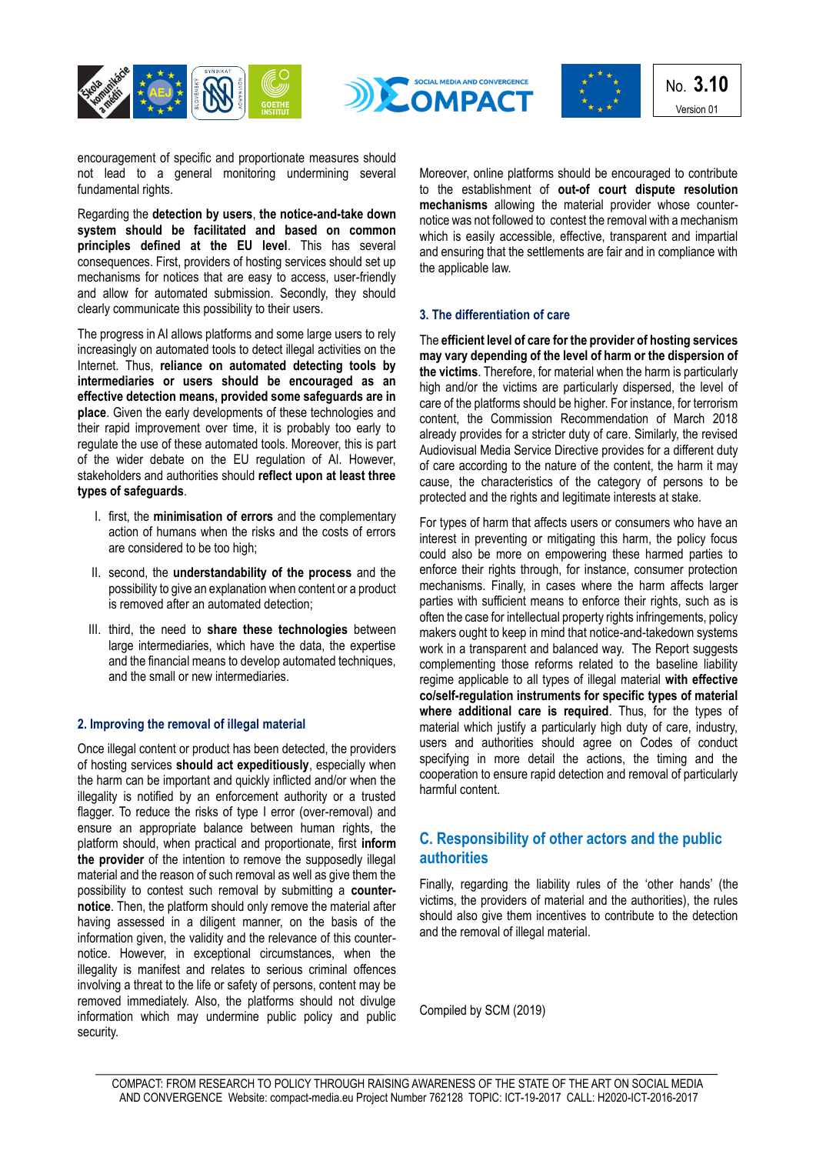





No. **3.10** Version 01

encouragement of specific and proportionate measures should not lead to a general monitoring undermining several fundamental rights.

Regarding the **detection by users**, **the notice-and-take down system should be facilitated and based on common principles defined at the EU level**. This has several consequences. First, providers of hosting services should set up mechanisms for notices that are easy to access, user-friendly and allow for automated submission. Secondly, they should clearly communicate this possibility to their users.

The progress in AI allows platforms and some large users to rely increasingly on automated tools to detect illegal activities on the Internet. Thus, **reliance on automated detecting tools by intermediaries or users should be encouraged as an effective detection means, provided some safeguards are in place**. Given the early developments of these technologies and their rapid improvement over time, it is probably too early to regulate the use of these automated tools. Moreover, this is part of the wider debate on the EU regulation of AI. However, stakeholders and authorities should **reflect upon at least three types of safeguards**.

- I. first, the **minimisation of errors** and the complementary action of humans when the risks and the costs of errors are considered to be too high;
- II. second, the **understandability of the process** and the possibility to give an explanation when content or a product is removed after an automated detection;
- III. third, the need to **share these technologies** between large intermediaries, which have the data, the expertise and the financial means to develop automated techniques, and the small or new intermediaries.

### **2. Improving the removal of illegal material**

Once illegal content or product has been detected, the providers of hosting services **should act expeditiously**, especially when the harm can be important and quickly inflicted and/or when the illegality is notified by an enforcement authority or a trusted flagger. To reduce the risks of type I error (over-removal) and ensure an appropriate balance between human rights, the platform should, when practical and proportionate, first **inform the provider** of the intention to remove the supposedly illegal material and the reason of such removal as well as give them the possibility to contest such removal by submitting a **counternotice**. Then, the platform should only remove the material after having assessed in a diligent manner, on the basis of the information given, the validity and the relevance of this counternotice. However, in exceptional circumstances, when the illegality is manifest and relates to serious criminal offences involving a threat to the life or safety of persons, content may be removed immediately. Also, the platforms should not divulge information which may undermine public policy and public security.

Moreover, online platforms should be encouraged to contribute to the establishment of **out-of court dispute resolution mechanisms** allowing the material provider whose counternotice was not followed to contest the removal with a mechanism which is easily accessible, effective, transparent and impartial and ensuring that the settlements are fair and in compliance with the applicable law.

### **3. The differentiation of care**

The **efficient level of care for the provider of hosting services may vary depending of the level of harm or the dispersion of the victims**. Therefore, for material when the harm is particularly high and/or the victims are particularly dispersed, the level of care of the platforms should be higher. For instance, for terrorism content, the Commission Recommendation of March 2018 already provides for a stricter duty of care. Similarly, the revised Audiovisual Media Service Directive provides for a different duty of care according to the nature of the content, the harm it may cause, the characteristics of the category of persons to be protected and the rights and legitimate interests at stake.

For types of harm that affects users or consumers who have an interest in preventing or mitigating this harm, the policy focus could also be more on empowering these harmed parties to enforce their rights through, for instance, consumer protection mechanisms. Finally, in cases where the harm affects larger parties with sufficient means to enforce their rights, such as is often the case for intellectual property rights infringements, policy makers ought to keep in mind that notice-and-takedown systems work in a transparent and balanced way. The Report suggests complementing those reforms related to the baseline liability regime applicable to all types of illegal material **with effective co/self-regulation instruments for specific types of material where additional care is required**. Thus, for the types of material which justify a particularly high duty of care, industry, users and authorities should agree on Codes of conduct specifying in more detail the actions, the timing and the cooperation to ensure rapid detection and removal of particularly harmful content.

### **C. Responsibility of other actors and the public authorities**

Finally, regarding the liability rules of the 'other hands' (the victims, the providers of material and the authorities), the rules should also give them incentives to contribute to the detection and the removal of illegal material.

Compiled by SCM (2019)